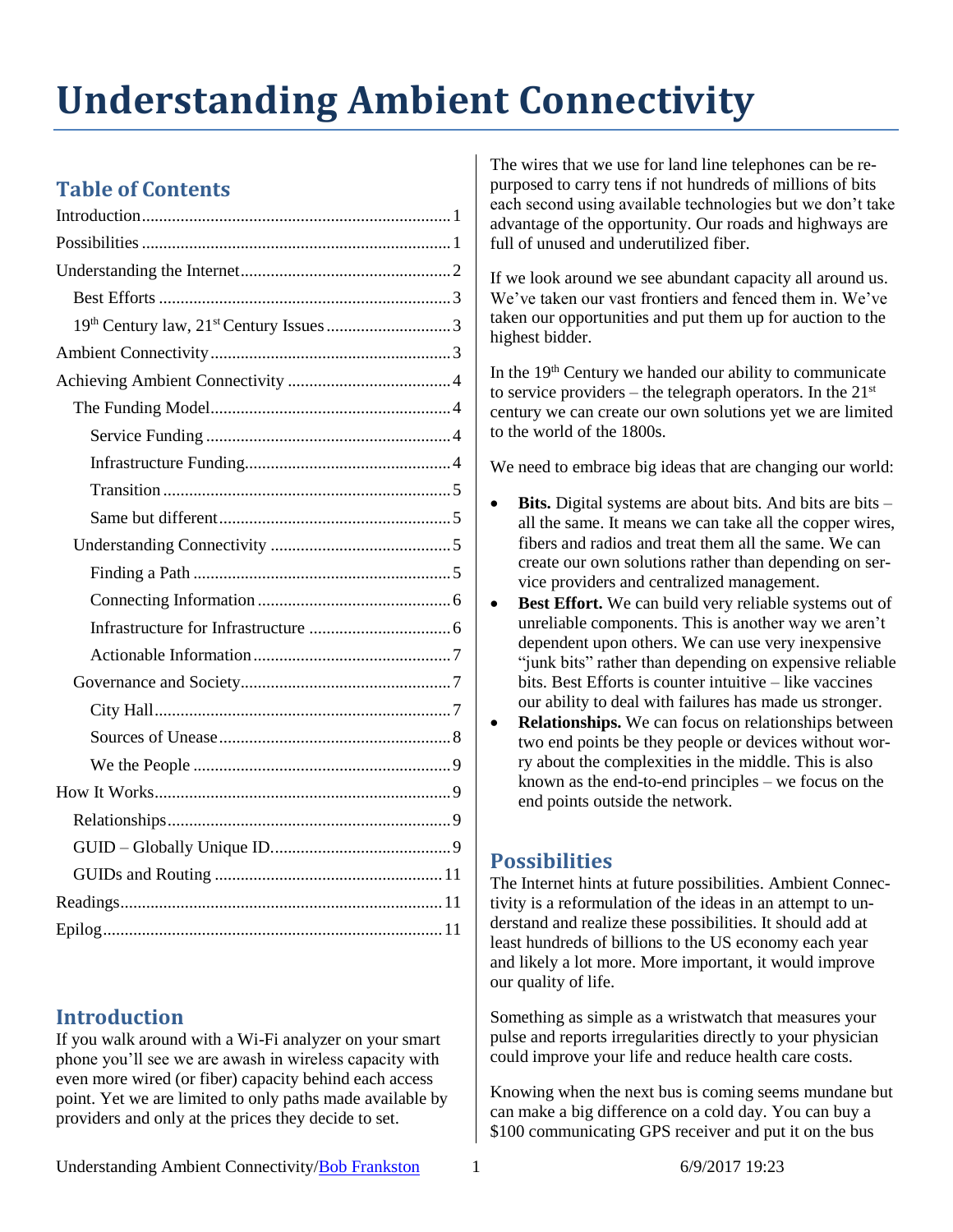# **Understanding Ambient Connectivity**

# **Table of Contents**

# <span id="page-0-0"></span>**Introduction**

If you walk around with a Wi-Fi analyzer on your smart phone you'll see we are awash in wireless capacity with even more wired (or fiber) capacity behind each access point. Yet we are limited to only paths made available by providers and only at the prices they decide to set.

The wires that we use for land line telephones can be repurposed to carry tens if not hundreds of millions of bits each second using available technologies but we don't take advantage of the opportunity. Our roads and highways are full of unused and underutilized fiber.

If we look around we see abundant capacity all around us. We've taken our vast frontiers and fenced them in. We've taken our opportunities and put them up for auction to the highest bidder.

In the  $19<sup>th</sup>$  Century we handed our ability to communicate to service providers – the telegraph operators. In the  $21<sup>st</sup>$ century we can create our own solutions yet we are limited to the world of the 1800s.

We need to embrace big ideas that are changing our world:

- **Bits.** Digital systems are about bits. And bits are bits all the same. It means we can take all the copper wires, fibers and radios and treat them all the same. We can create our own solutions rather than depending on service providers and centralized management.
- **Best Effort.** We can build very reliable systems out of unreliable components. This is another way we aren't dependent upon others. We can use very inexpensive "junk bits" rather than depending on expensive reliable bits. Best Efforts is counter intuitive – like vaccines our ability to deal with failures has made us stronger.
- **Relationships.** We can focus on relationships between two end points be they people or devices without worry about the complexities in the middle. This is also known as the end-to-end principles – we focus on the end points outside the network.

# <span id="page-0-1"></span>**Possibilities**

The Internet hints at future possibilities. Ambient Connectivity is a reformulation of the ideas in an attempt to understand and realize these possibilities. It should add at least hundreds of billions to the US economy each year and likely a lot more. More important, it would improve our quality of life.

Something as simple as a wristwatch that measures your pulse and reports irregularities directly to your physician could improve your life and reduce health care costs.

Knowing when the next bus is coming seems mundane but can make a big difference on a cold day. You can buy a \$100 communicating GPS receiver and put it on the bus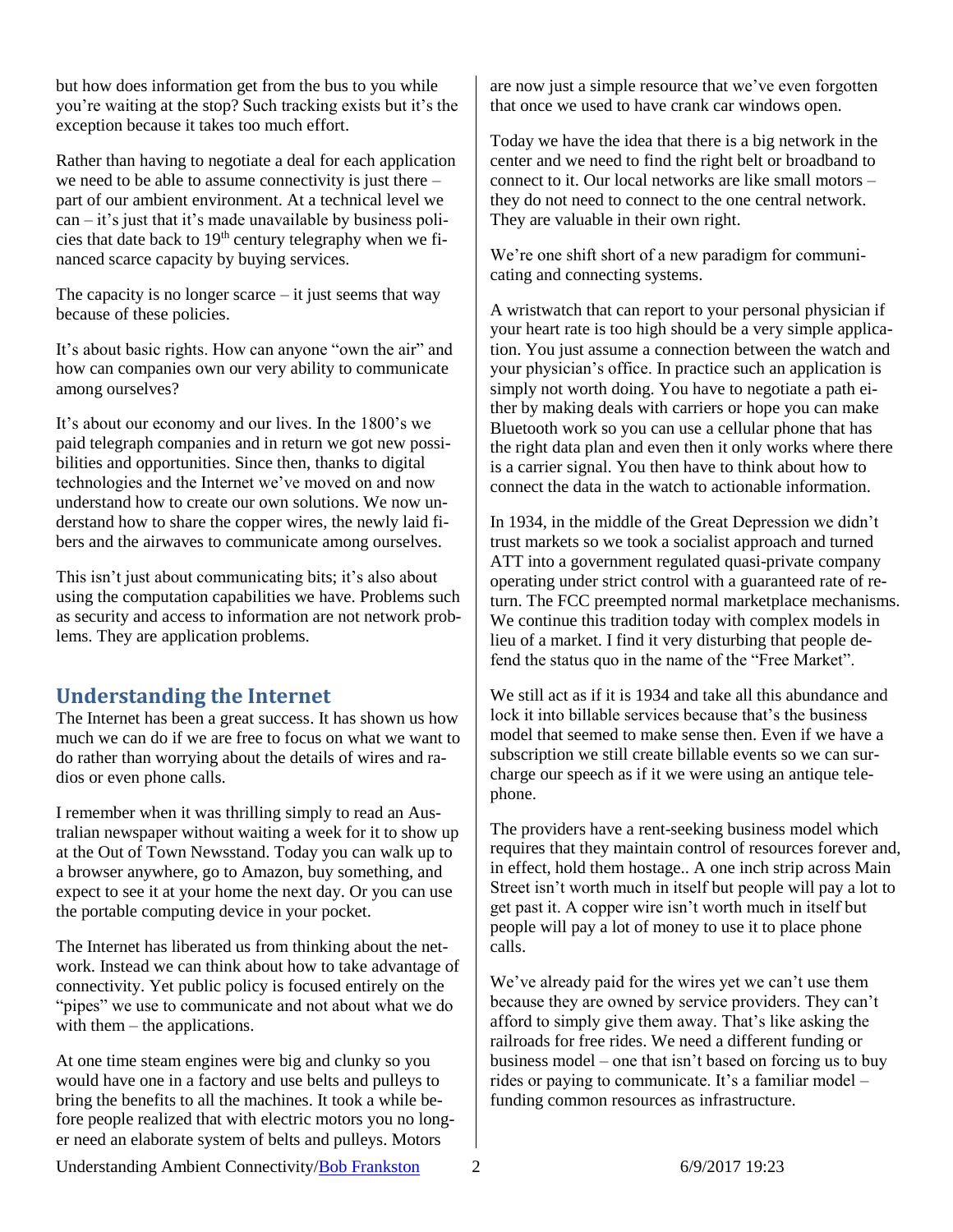but how does information get from the bus to you while you're waiting at the stop? Such tracking exists but it's the exception because it takes too much effort.

Rather than having to negotiate a deal for each application we need to be able to assume connectivity is just there – part of our ambient environment. At a technical level we can – it's just that it's made unavailable by business policies that date back to  $19<sup>th</sup>$  century telegraphy when we financed scarce capacity by buying services.

The capacity is no longer scarce  $-$  it just seems that way because of these policies.

It's about basic rights. How can anyone "own the air" and how can companies own our very ability to communicate among ourselves?

It's about our economy and our lives. In the 1800's we paid telegraph companies and in return we got new possibilities and opportunities. Since then, thanks to digital technologies and the Internet we've moved on and now understand how to create our own solutions. We now understand how to share the copper wires, the newly laid fibers and the airwaves to communicate among ourselves.

This isn't just about communicating bits; it's also about using the computation capabilities we have. Problems such as security and access to information are not network problems. They are application problems.

# <span id="page-1-0"></span>**Understanding the Internet**

The Internet has been a great success. It has shown us how much we can do if we are free to focus on what we want to do rather than worrying about the details of wires and radios or even phone calls.

I remember when it was thrilling simply to read an Australian newspaper without waiting a week for it to show up at the Out of Town Newsstand. Today you can walk up to a browser anywhere, go to Amazon, buy something, and expect to see it at your home the next day. Or you can use the portable computing device in your pocket.

The Internet has liberated us from thinking about the network. Instead we can think about how to take advantage of connectivity. Yet public policy is focused entirely on the "pipes" we use to communicate and not about what we do with them – the applications.

At one time steam engines were big and clunky so you would have one in a factory and use belts and pulleys to bring the benefits to all the machines. It took a while before people realized that with electric motors you no longer need an elaborate system of belts and pulleys. Motors

are now just a simple resource that we've even forgotten that once we used to have crank car windows open.

Today we have the idea that there is a big network in the center and we need to find the right belt or broadband to connect to it. Our local networks are like small motors – they do not need to connect to the one central network. They are valuable in their own right.

We're one shift short of a new paradigm for communicating and connecting systems.

A wristwatch that can report to your personal physician if your heart rate is too high should be a very simple application. You just assume a connection between the watch and your physician's office. In practice such an application is simply not worth doing. You have to negotiate a path either by making deals with carriers or hope you can make Bluetooth work so you can use a cellular phone that has the right data plan and even then it only works where there is a carrier signal. You then have to think about how to connect the data in the watch to actionable information.

In 1934, in the middle of the Great Depression we didn't trust markets so we took a socialist approach and turned ATT into a government regulated quasi-private company operating under strict control with a guaranteed rate of return. The FCC preempted normal marketplace mechanisms. We continue this tradition today with complex models in lieu of a market. I find it very disturbing that people defend the status quo in the name of the "Free Market".

We still act as if it is 1934 and take all this abundance and lock it into billable services because that's the business model that seemed to make sense then. Even if we have a subscription we still create billable events so we can surcharge our speech as if it we were using an antique telephone.

The providers have a rent-seeking business model which requires that they maintain control of resources forever and, in effect, hold them hostage.. A one inch strip across Main Street isn't worth much in itself but people will pay a lot to get past it. A copper wire isn't worth much in itself but people will pay a lot of money to use it to place phone calls.

We've already paid for the wires yet we can't use them because they are owned by service providers. They can't afford to simply give them away. That's like asking the railroads for free rides. We need a different funding or business model – one that isn't based on forcing us to buy rides or paying to communicate. It's a familiar model – funding common resources as infrastructure.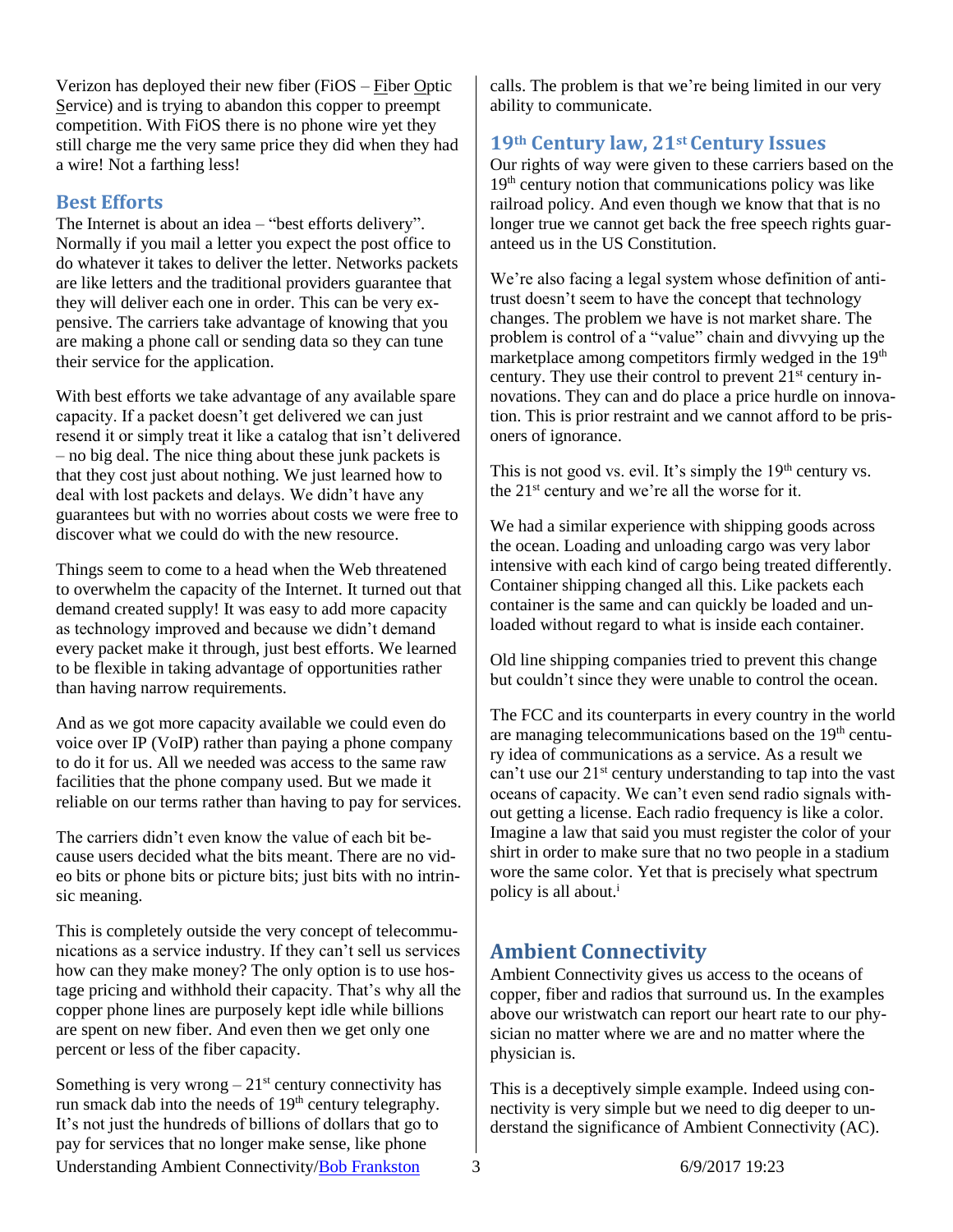Verizon has deployed their new fiber (FiOS – Fiber Optic Service) and is trying to abandon this copper to preempt competition. With FiOS there is no phone wire yet they still charge me the very same price they did when they had a wire! Not a farthing less!

## <span id="page-2-0"></span>**Best Efforts**

The Internet is about an idea – "best efforts delivery". Normally if you mail a letter you expect the post office to do whatever it takes to deliver the letter. Networks packets are like letters and the traditional providers guarantee that they will deliver each one in order. This can be very expensive. The carriers take advantage of knowing that you are making a phone call or sending data so they can tune their service for the application.

With best efforts we take advantage of any available spare capacity. If a packet doesn't get delivered we can just resend it or simply treat it like a catalog that isn't delivered – no big deal. The nice thing about these junk packets is that they cost just about nothing. We just learned how to deal with lost packets and delays. We didn't have any guarantees but with no worries about costs we were free to discover what we could do with the new resource.

Things seem to come to a head when the Web threatened to overwhelm the capacity of the Internet. It turned out that demand created supply! It was easy to add more capacity as technology improved and because we didn't demand every packet make it through, just best efforts. We learned to be flexible in taking advantage of opportunities rather than having narrow requirements.

And as we got more capacity available we could even do voice over IP (VoIP) rather than paying a phone company to do it for us. All we needed was access to the same raw facilities that the phone company used. But we made it reliable on our terms rather than having to pay for services.

The carriers didn't even know the value of each bit because users decided what the bits meant. There are no video bits or phone bits or picture bits; just bits with no intrinsic meaning.

This is completely outside the very concept of telecommunications as a service industry. If they can't sell us services how can they make money? The only option is to use hostage pricing and withhold their capacity. That's why all the copper phone lines are purposely kept idle while billions are spent on new fiber. And even then we get only one percent or less of the fiber capacity.

Understanding Ambient Connectivity[/Bob Frankston](http://frankston.com/public) 3 6/9/2017 19:23 Something is very wrong  $-21<sup>st</sup>$  century connectivity has run smack dab into the needs of  $19<sup>th</sup>$  century telegraphy. It's not just the hundreds of billions of dollars that go to pay for services that no longer make sense, like phone

calls. The problem is that we're being limited in our very ability to communicate.

## <span id="page-2-1"></span>**19th Century law, 21st Century Issues**

Our rights of way were given to these carriers based on the 19<sup>th</sup> century notion that communications policy was like railroad policy. And even though we know that that is no longer true we cannot get back the free speech rights guaranteed us in the US Constitution.

We're also facing a legal system whose definition of antitrust doesn't seem to have the concept that technology changes. The problem we have is not market share. The problem is control of a "value" chain and divvying up the marketplace among competitors firmly wedged in the 19<sup>th</sup> century. They use their control to prevent  $21<sup>st</sup>$  century innovations. They can and do place a price hurdle on innovation. This is prior restraint and we cannot afford to be prisoners of ignorance.

This is not good vs. evil. It's simply the  $19<sup>th</sup>$  century vs. the 21<sup>st</sup> century and we're all the worse for it.

We had a similar experience with shipping goods across the ocean. Loading and unloading cargo was very labor intensive with each kind of cargo being treated differently. Container shipping changed all this. Like packets each container is the same and can quickly be loaded and unloaded without regard to what is inside each container.

Old line shipping companies tried to prevent this change but couldn't since they were unable to control the ocean.

The FCC and its counterparts in every country in the world are managing telecommunications based on the  $19<sup>th</sup>$  century idea of communications as a service. As a result we can't use our  $21<sup>st</sup>$  century understanding to tap into the vast oceans of capacity. We can't even send radio signals without getting a license. Each radio frequency is like a color. Imagine a law that said you must register the color of your shirt in order to make sure that no two people in a stadium wore the same color. Yet that is precisely what spectrum policy is all about.<sup>i</sup>

# <span id="page-2-2"></span>**Ambient Connectivity**

Ambient Connectivity gives us access to the oceans of copper, fiber and radios that surround us. In the examples above our wristwatch can report our heart rate to our physician no matter where we are and no matter where the physician is.

This is a deceptively simple example. Indeed using connectivity is very simple but we need to dig deeper to understand the significance of Ambient Connectivity (AC).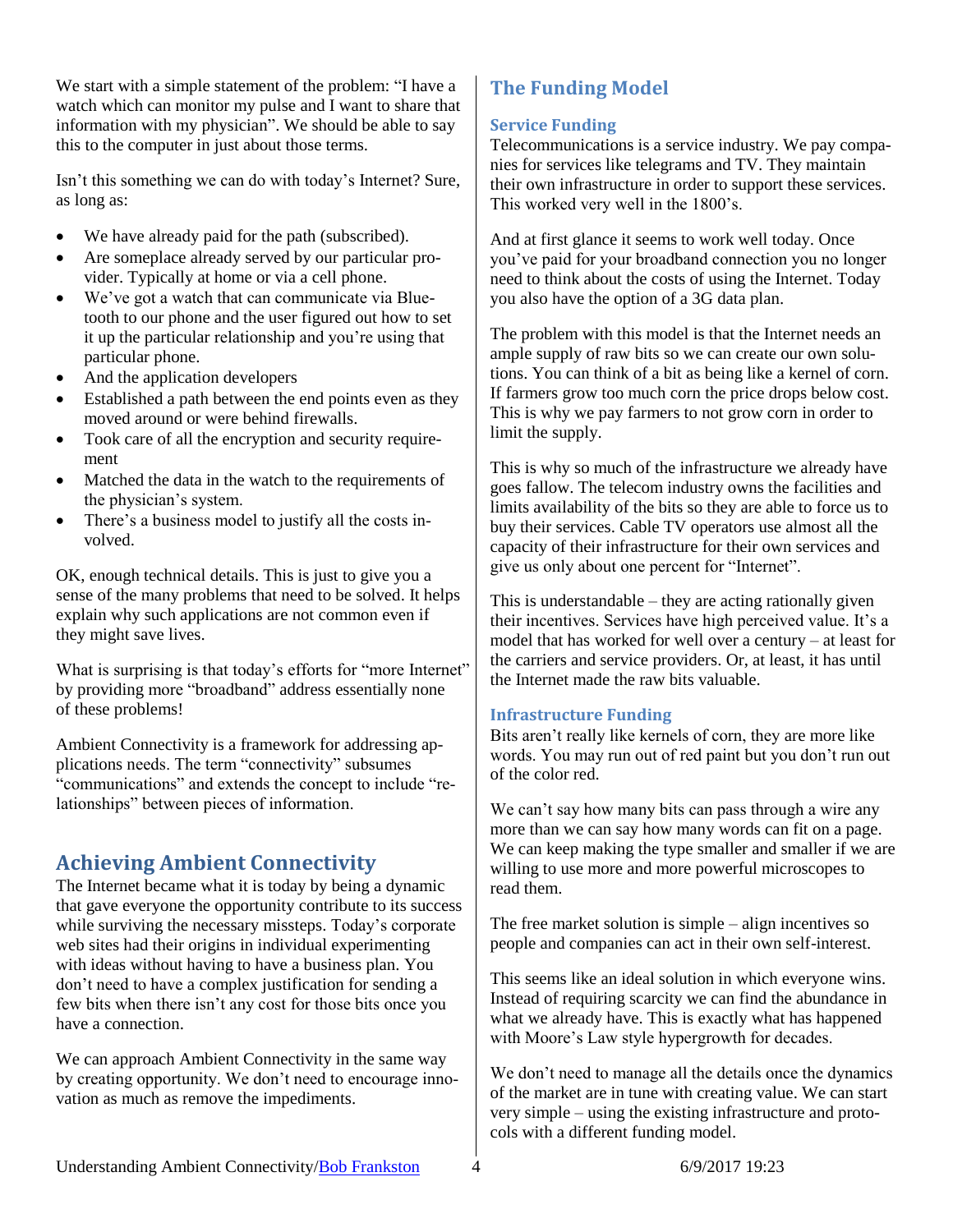We start with a simple statement of the problem: "I have a watch which can monitor my pulse and I want to share that information with my physician". We should be able to say this to the computer in just about those terms.

Isn't this something we can do with today's Internet? Sure, as long as:

- We have already paid for the path (subscribed).
- Are someplace already served by our particular provider. Typically at home or via a cell phone.
- We've got a watch that can communicate via Bluetooth to our phone and the user figured out how to set it up the particular relationship and you're using that particular phone.
- And the application developers
- Established a path between the end points even as they moved around or were behind firewalls.
- Took care of all the encryption and security requirement
- Matched the data in the watch to the requirements of the physician's system.
- There's a business model to justify all the costs involved.

OK, enough technical details. This is just to give you a sense of the many problems that need to be solved. It helps explain why such applications are not common even if they might save lives.

What is surprising is that today's efforts for "more Internet" by providing more "broadband" address essentially none of these problems!

Ambient Connectivity is a framework for addressing applications needs. The term "connectivity" subsumes "communications" and extends the concept to include "relationships" between pieces of information.

# <span id="page-3-0"></span>**Achieving Ambient Connectivity**

The Internet became what it is today by being a dynamic that gave everyone the opportunity contribute to its success while surviving the necessary missteps. Today's corporate web sites had their origins in individual experimenting with ideas without having to have a business plan. You don't need to have a complex justification for sending a few bits when there isn't any cost for those bits once you have a connection.

We can approach Ambient Connectivity in the same way by creating opportunity. We don't need to encourage innovation as much as remove the impediments.

# <span id="page-3-1"></span>**The Funding Model**

## <span id="page-3-2"></span>**Service Funding**

Telecommunications is a service industry. We pay companies for services like telegrams and TV. They maintain their own infrastructure in order to support these services. This worked very well in the 1800's.

And at first glance it seems to work well today. Once you've paid for your broadband connection you no longer need to think about the costs of using the Internet. Today you also have the option of a 3G data plan.

The problem with this model is that the Internet needs an ample supply of raw bits so we can create our own solutions. You can think of a bit as being like a kernel of corn. If farmers grow too much corn the price drops below cost. This is why we pay farmers to not grow corn in order to limit the supply.

This is why so much of the infrastructure we already have goes fallow. The telecom industry owns the facilities and limits availability of the bits so they are able to force us to buy their services. Cable TV operators use almost all the capacity of their infrastructure for their own services and give us only about one percent for "Internet".

This is understandable – they are acting rationally given their incentives. Services have high perceived value. It's a model that has worked for well over a century – at least for the carriers and service providers. Or, at least, it has until the Internet made the raw bits valuable.

## <span id="page-3-3"></span>**Infrastructure Funding**

Bits aren't really like kernels of corn, they are more like words. You may run out of red paint but you don't run out of the color red.

We can't say how many bits can pass through a wire any more than we can say how many words can fit on a page. We can keep making the type smaller and smaller if we are willing to use more and more powerful microscopes to read them.

The free market solution is simple – align incentives so people and companies can act in their own self-interest.

This seems like an ideal solution in which everyone wins. Instead of requiring scarcity we can find the abundance in what we already have. This is exactly what has happened with Moore's Law style hypergrowth for decades.

We don't need to manage all the details once the dynamics of the market are in tune with creating value. We can start very simple – using the existing infrastructure and protocols with a different funding model.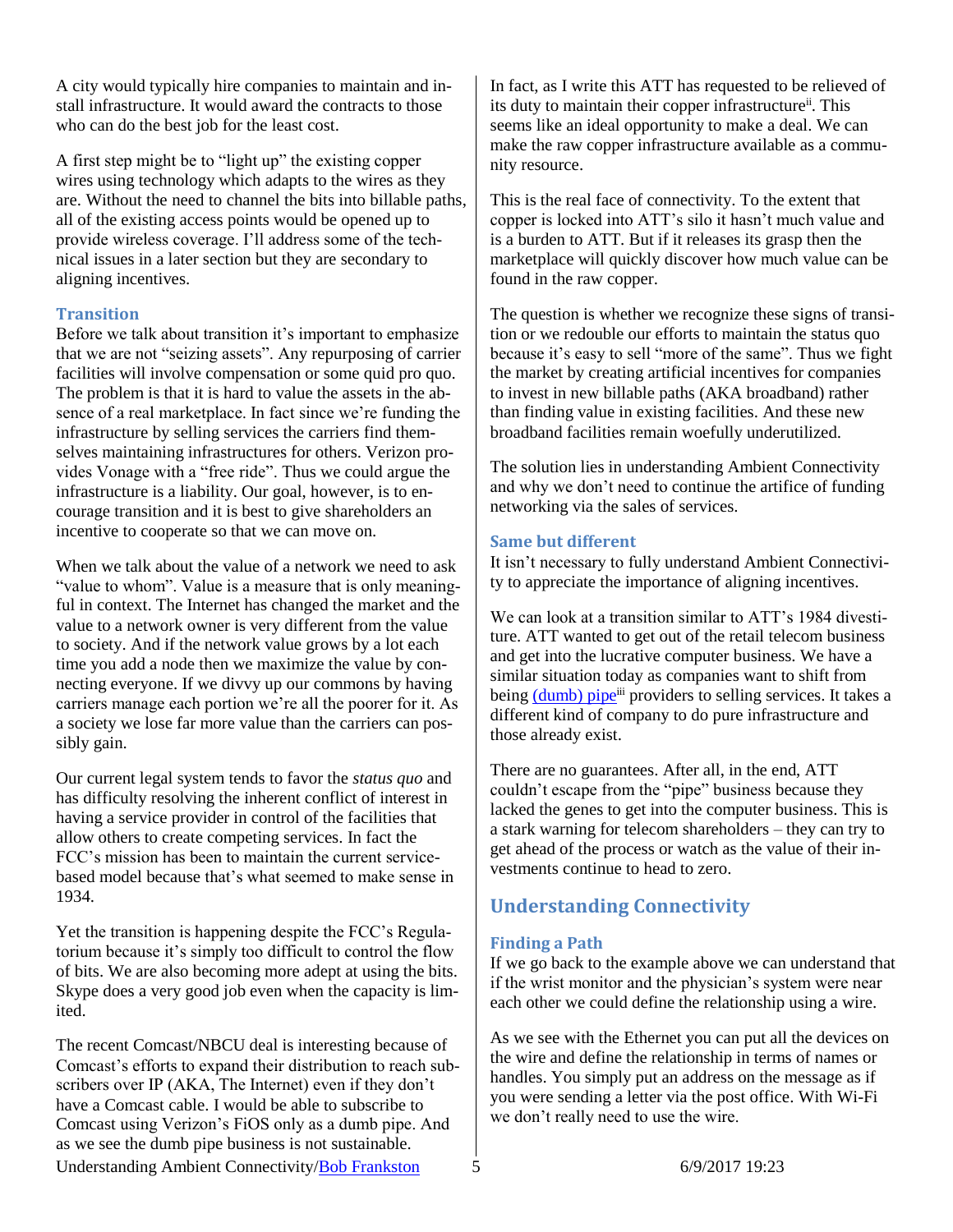A city would typically hire companies to maintain and install infrastructure. It would award the contracts to those who can do the best job for the least cost.

A first step might be to "light up" the existing copper wires using technology which adapts to the wires as they are. Without the need to channel the bits into billable paths, all of the existing access points would be opened up to provide wireless coverage. I'll address some of the technical issues in a later section but they are secondary to aligning incentives.

## <span id="page-4-0"></span>**Transition**

Before we talk about transition it's important to emphasize that we are not "seizing assets". Any repurposing of carrier facilities will involve compensation or some quid pro quo. The problem is that it is hard to value the assets in the absence of a real marketplace. In fact since we're funding the infrastructure by selling services the carriers find themselves maintaining infrastructures for others. Verizon provides Vonage with a "free ride". Thus we could argue the infrastructure is a liability. Our goal, however, is to encourage transition and it is best to give shareholders an incentive to cooperate so that we can move on.

When we talk about the value of a network we need to ask "value to whom". Value is a measure that is only meaningful in context. The Internet has changed the market and the value to a network owner is very different from the value to society. And if the network value grows by a lot each time you add a node then we maximize the value by connecting everyone. If we divvy up our commons by having carriers manage each portion we're all the poorer for it. As a society we lose far more value than the carriers can possibly gain.

Our current legal system tends to favor the *status quo* and has difficulty resolving the inherent conflict of interest in having a service provider in control of the facilities that allow others to create competing services. In fact the FCC's mission has been to maintain the current servicebased model because that's what seemed to make sense in 1934.

Yet the transition is happening despite the FCC's Regulatorium because it's simply too difficult to control the flow of bits. We are also becoming more adept at using the bits. Skype does a very good job even when the capacity is limited.

The recent Comcast/NBCU deal is interesting because of Comcast's efforts to expand their distribution to reach subscribers over IP (AKA, The Internet) even if they don't have a Comcast cable. I would be able to subscribe to Comcast using Verizon's FiOS only as a dumb pipe. And as we see the dumb pipe business is not sustainable.

In fact, as I write this ATT has requested to be relieved of its duty to maintain their copper infrastructure<sup>ii</sup>. This seems like an ideal opportunity to make a deal. We can make the raw copper infrastructure available as a community resource.

This is the real face of connectivity. To the extent that copper is locked into ATT's silo it hasn't much value and is a burden to ATT. But if it releases its grasp then the marketplace will quickly discover how much value can be found in the raw copper.

The question is whether we recognize these signs of transition or we redouble our efforts to maintain the status quo because it's easy to sell "more of the same". Thus we fight the market by creating artificial incentives for companies to invest in new billable paths (AKA broadband) rather than finding value in existing facilities. And these new broadband facilities remain woefully underutilized.

The solution lies in understanding Ambient Connectivity and why we don't need to continue the artifice of funding networking via the sales of services.

#### <span id="page-4-1"></span>**Same but different**

It isn't necessary to fully understand Ambient Connectivity to appreciate the importance of aligning incentives.

We can look at a transition similar to ATT's 1984 divestiture. ATT wanted to get out of the retail telecom business and get into the lucrative computer business. We have a similar situation today as companies want to shift from being [\(dumb\)](http://rmf.vc/DumbPipes.UAC) pipe<sup>iii</sup> providers to selling services. It takes a different kind of company to do pure infrastructure and those already exist.

There are no guarantees. After all, in the end, ATT couldn't escape from the "pipe" business because they lacked the genes to get into the computer business. This is a stark warning for telecom shareholders – they can try to get ahead of the process or watch as the value of their investments continue to head to zero.

# <span id="page-4-2"></span>**Understanding Connectivity**

## <span id="page-4-3"></span>**Finding a Path**

If we go back to the example above we can understand that if the wrist monitor and the physician's system were near each other we could define the relationship using a wire.

As we see with the Ethernet you can put all the devices on the wire and define the relationship in terms of names or handles. You simply put an address on the message as if you were sending a letter via the post office. With Wi-Fi we don't really need to use the wire.

Understanding Ambient Connectivity[/Bob Frankston](http://frankston.com/public) 5 6/9/2017 19:23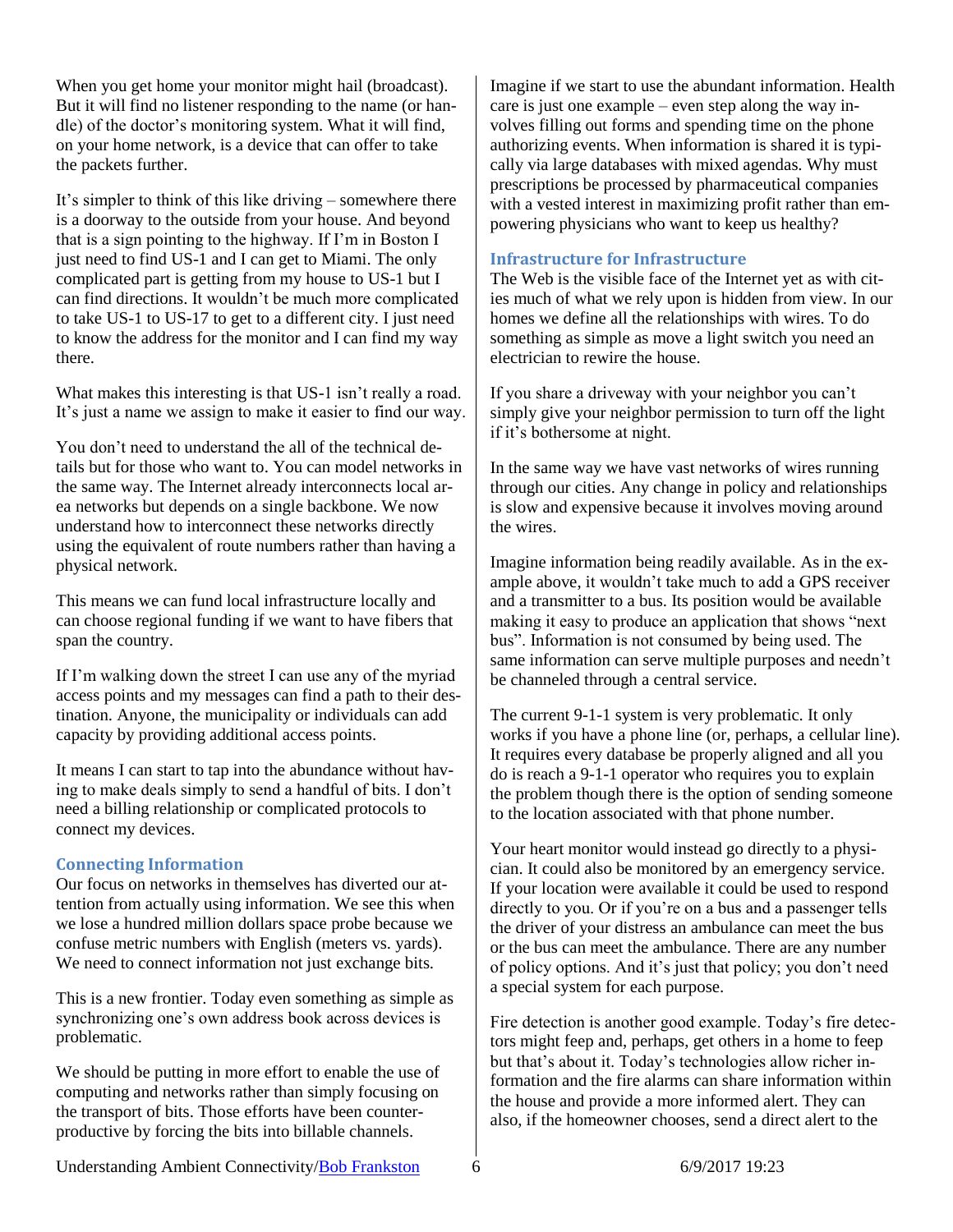When you get home your monitor might hail (broadcast). But it will find no listener responding to the name (or handle) of the doctor's monitoring system. What it will find, on your home network, is a device that can offer to take the packets further.

It's simpler to think of this like driving – somewhere there is a doorway to the outside from your house. And beyond that is a sign pointing to the highway. If I'm in Boston I just need to find US-1 and I can get to Miami. The only complicated part is getting from my house to US-1 but I can find directions. It wouldn't be much more complicated to take US-1 to US-17 to get to a different city. I just need to know the address for the monitor and I can find my way there.

What makes this interesting is that US-1 isn't really a road. It's just a name we assign to make it easier to find our way.

You don't need to understand the all of the technical details but for those who want to. You can model networks in the same way. The Internet already interconnects local area networks but depends on a single backbone. We now understand how to interconnect these networks directly using the equivalent of route numbers rather than having a physical network.

This means we can fund local infrastructure locally and can choose regional funding if we want to have fibers that span the country.

If I'm walking down the street I can use any of the myriad access points and my messages can find a path to their destination. Anyone, the municipality or individuals can add capacity by providing additional access points.

It means I can start to tap into the abundance without having to make deals simply to send a handful of bits. I don't need a billing relationship or complicated protocols to connect my devices.

#### <span id="page-5-0"></span>**Connecting Information**

Our focus on networks in themselves has diverted our attention from actually using information. We see this when we lose a hundred million dollars space probe because we confuse metric numbers with English (meters vs. yards). We need to connect information not just exchange bits.

This is a new frontier. Today even something as simple as synchronizing one's own address book across devices is problematic.

We should be putting in more effort to enable the use of computing and networks rather than simply focusing on the transport of bits. Those efforts have been counterproductive by forcing the bits into billable channels.

Imagine if we start to use the abundant information. Health care is just one example – even step along the way involves filling out forms and spending time on the phone authorizing events. When information is shared it is typically via large databases with mixed agendas. Why must prescriptions be processed by pharmaceutical companies with a vested interest in maximizing profit rather than empowering physicians who want to keep us healthy?

#### <span id="page-5-1"></span>**Infrastructure for Infrastructure**

The Web is the visible face of the Internet yet as with cities much of what we rely upon is hidden from view. In our homes we define all the relationships with wires. To do something as simple as move a light switch you need an electrician to rewire the house.

If you share a driveway with your neighbor you can't simply give your neighbor permission to turn off the light if it's bothersome at night.

In the same way we have vast networks of wires running through our cities. Any change in policy and relationships is slow and expensive because it involves moving around the wires.

Imagine information being readily available. As in the example above, it wouldn't take much to add a GPS receiver and a transmitter to a bus. Its position would be available making it easy to produce an application that shows "next bus". Information is not consumed by being used. The same information can serve multiple purposes and needn't be channeled through a central service.

The current 9-1-1 system is very problematic. It only works if you have a phone line (or, perhaps, a cellular line). It requires every database be properly aligned and all you do is reach a 9-1-1 operator who requires you to explain the problem though there is the option of sending someone to the location associated with that phone number.

Your heart monitor would instead go directly to a physician. It could also be monitored by an emergency service. If your location were available it could be used to respond directly to you. Or if you're on a bus and a passenger tells the driver of your distress an ambulance can meet the bus or the bus can meet the ambulance. There are any number of policy options. And it's just that policy; you don't need a special system for each purpose.

Fire detection is another good example. Today's fire detectors might feep and, perhaps, get others in a home to feep but that's about it. Today's technologies allow richer information and the fire alarms can share information within the house and provide a more informed alert. They can also, if the homeowner chooses, send a direct alert to the

Understanding Ambient Connectivity[/Bob Frankston](http://frankston.com/public) 6 6/9/2017 19:23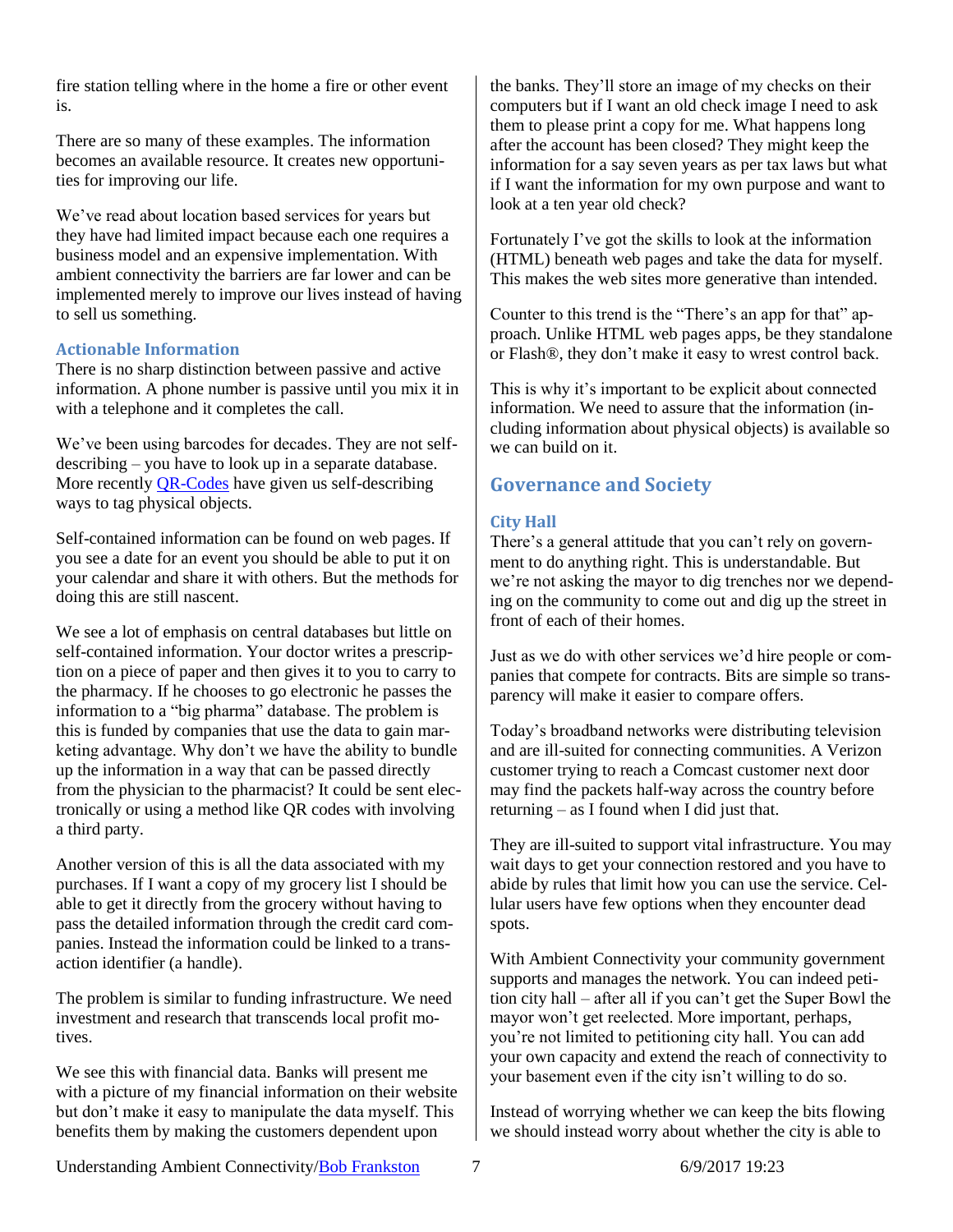fire station telling where in the home a fire or other event is.

There are so many of these examples. The information becomes an available resource. It creates new opportunities for improving our life.

We've read about location based services for years but they have had limited impact because each one requires a business model and an expensive implementation. With ambient connectivity the barriers are far lower and can be implemented merely to improve our lives instead of having to sell us something.

#### <span id="page-6-0"></span>**Actionable Information**

There is no sharp distinction between passive and active information. A phone number is passive until you mix it in with a telephone and it completes the call.

We've been using barcodes for decades. They are not selfdescribing – you have to look up in a separate database. More recently **QR-Codes** have given us self-describing ways to tag physical objects.

Self-contained information can be found on web pages. If you see a date for an event you should be able to put it on your calendar and share it with others. But the methods for doing this are still nascent.

We see a lot of emphasis on central databases but little on self-contained information. Your doctor writes a prescription on a piece of paper and then gives it to you to carry to the pharmacy. If he chooses to go electronic he passes the information to a "big pharma" database. The problem is this is funded by companies that use the data to gain marketing advantage. Why don't we have the ability to bundle up the information in a way that can be passed directly from the physician to the pharmacist? It could be sent electronically or using a method like QR codes with involving a third party.

Another version of this is all the data associated with my purchases. If I want a copy of my grocery list I should be able to get it directly from the grocery without having to pass the detailed information through the credit card companies. Instead the information could be linked to a transaction identifier (a handle).

The problem is similar to funding infrastructure. We need investment and research that transcends local profit motives.

We see this with financial data. Banks will present me with a picture of my financial information on their website but don't make it easy to manipulate the data myself. This benefits them by making the customers dependent upon

the banks. They'll store an image of my checks on their computers but if I want an old check image I need to ask them to please print a copy for me. What happens long after the account has been closed? They might keep the information for a say seven years as per tax laws but what if I want the information for my own purpose and want to look at a ten year old check?

Fortunately I've got the skills to look at the information (HTML) beneath web pages and take the data for myself. This makes the web sites more generative than intended.

Counter to this trend is the "There's an app for that" approach. Unlike HTML web pages apps, be they standalone or Flash®, they don't make it easy to wrest control back.

This is why it's important to be explicit about connected information. We need to assure that the information (including information about physical objects) is available so we can build on it.

## <span id="page-6-1"></span>**Governance and Society**

## <span id="page-6-2"></span>**City Hall**

There's a general attitude that you can't rely on government to do anything right. This is understandable. But we're not asking the mayor to dig trenches nor we depending on the community to come out and dig up the street in front of each of their homes.

Just as we do with other services we'd hire people or companies that compete for contracts. Bits are simple so transparency will make it easier to compare offers.

Today's broadband networks were distributing television and are ill-suited for connecting communities. A Verizon customer trying to reach a Comcast customer next door may find the packets half-way across the country before returning – as I found when I did just that.

They are ill-suited to support vital infrastructure. You may wait days to get your connection restored and you have to abide by rules that limit how you can use the service. Cellular users have few options when they encounter dead spots.

With Ambient Connectivity your community government supports and manages the network. You can indeed petition city hall – after all if you can't get the Super Bowl the mayor won't get reelected. More important, perhaps, you're not limited to petitioning city hall. You can add your own capacity and extend the reach of connectivity to your basement even if the city isn't willing to do so.

Instead of worrying whether we can keep the bits flowing we should instead worry about whether the city is able to

Understanding Ambient Connectivity[/Bob Frankston](http://frankston.com/public) 7 6/9/2017 19:23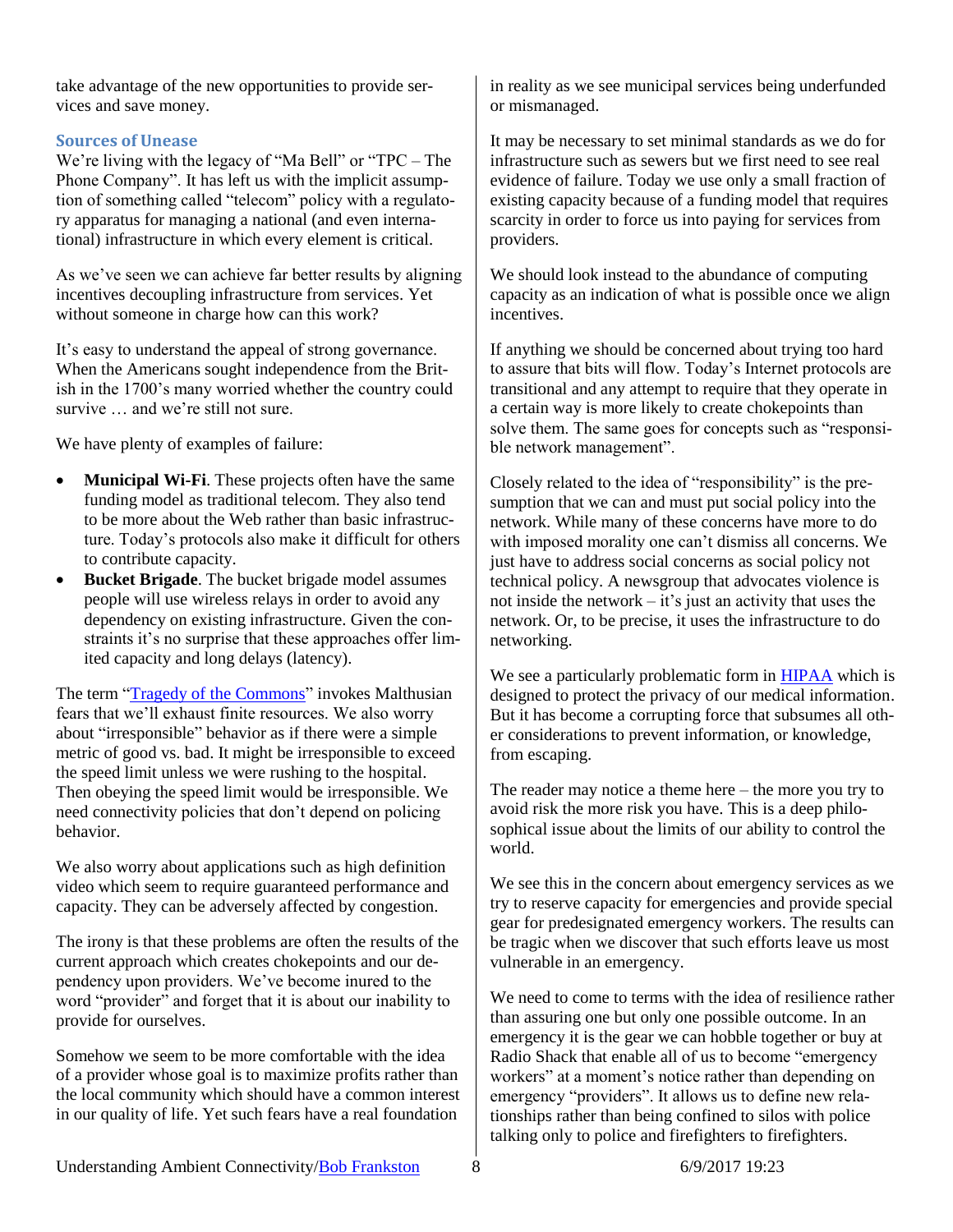take advantage of the new opportunities to provide services and save money.

## <span id="page-7-0"></span>**Sources of Unease**

We're living with the legacy of "Ma Bell" or "TPC – The Phone Company". It has left us with the implicit assumption of something called "telecom" policy with a regulatory apparatus for managing a national (and even international) infrastructure in which every element is critical.

As we've seen we can achieve far better results by aligning incentives decoupling infrastructure from services. Yet without someone in charge how can this work?

It's easy to understand the appeal of strong governance. When the Americans sought independence from the British in the 1700's many worried whether the country could survive … and we're still not sure.

We have plenty of examples of failure:

- **Municipal Wi-Fi**. These projects often have the same funding model as traditional telecom. They also tend to be more about the Web rather than basic infrastructure. Today's protocols also make it difficult for others to contribute capacity.
- **Bucket Brigade**. The bucket brigade model assumes people will use wireless relays in order to avoid any dependency on existing infrastructure. Given the constraints it's no surprise that these approaches offer limited capacity and long delays (latency).

The term ["Tragedy of the Commons"](http://en.wikipedia.org/wiki/Tragedy_of_the_commons) invokes Malthusian fears that we'll exhaust finite resources. We also worry about "irresponsible" behavior as if there were a simple metric of good vs. bad. It might be irresponsible to exceed the speed limit unless we were rushing to the hospital. Then obeying the speed limit would be irresponsible. We need connectivity policies that don't depend on policing behavior.

We also worry about applications such as high definition video which seem to require guaranteed performance and capacity. They can be adversely affected by congestion.

The irony is that these problems are often the results of the current approach which creates chokepoints and our dependency upon providers. We've become inured to the word "provider" and forget that it is about our inability to provide for ourselves.

Somehow we seem to be more comfortable with the idea of a provider whose goal is to maximize profits rather than the local community which should have a common interest in our quality of life. Yet such fears have a real foundation

in reality as we see municipal services being underfunded or mismanaged.

It may be necessary to set minimal standards as we do for infrastructure such as sewers but we first need to see real evidence of failure. Today we use only a small fraction of existing capacity because of a funding model that requires scarcity in order to force us into paying for services from providers.

We should look instead to the abundance of computing capacity as an indication of what is possible once we align incentives.

If anything we should be concerned about trying too hard to assure that bits will flow. Today's Internet protocols are transitional and any attempt to require that they operate in a certain way is more likely to create chokepoints than solve them. The same goes for concepts such as "responsible network management".

Closely related to the idea of "responsibility" is the presumption that we can and must put social policy into the network. While many of these concerns have more to do with imposed morality one can't dismiss all concerns. We just have to address social concerns as social policy not technical policy. A newsgroup that advocates violence is not inside the network – it's just an activity that uses the network. Or, to be precise, it uses the infrastructure to do networking.

We see a particularly problematic form in **HIPAA** which is designed to protect the privacy of our medical information. But it has become a corrupting force that subsumes all other considerations to prevent information, or knowledge, from escaping.

The reader may notice a theme here – the more you try to avoid risk the more risk you have. This is a deep philosophical issue about the limits of our ability to control the world.

We see this in the concern about emergency services as we try to reserve capacity for emergencies and provide special gear for predesignated emergency workers. The results can be tragic when we discover that such efforts leave us most vulnerable in an emergency.

We need to come to terms with the idea of resilience rather than assuring one but only one possible outcome. In an emergency it is the gear we can hobble together or buy at Radio Shack that enable all of us to become "emergency workers" at a moment's notice rather than depending on emergency "providers". It allows us to define new relationships rather than being confined to silos with police talking only to police and firefighters to firefighters.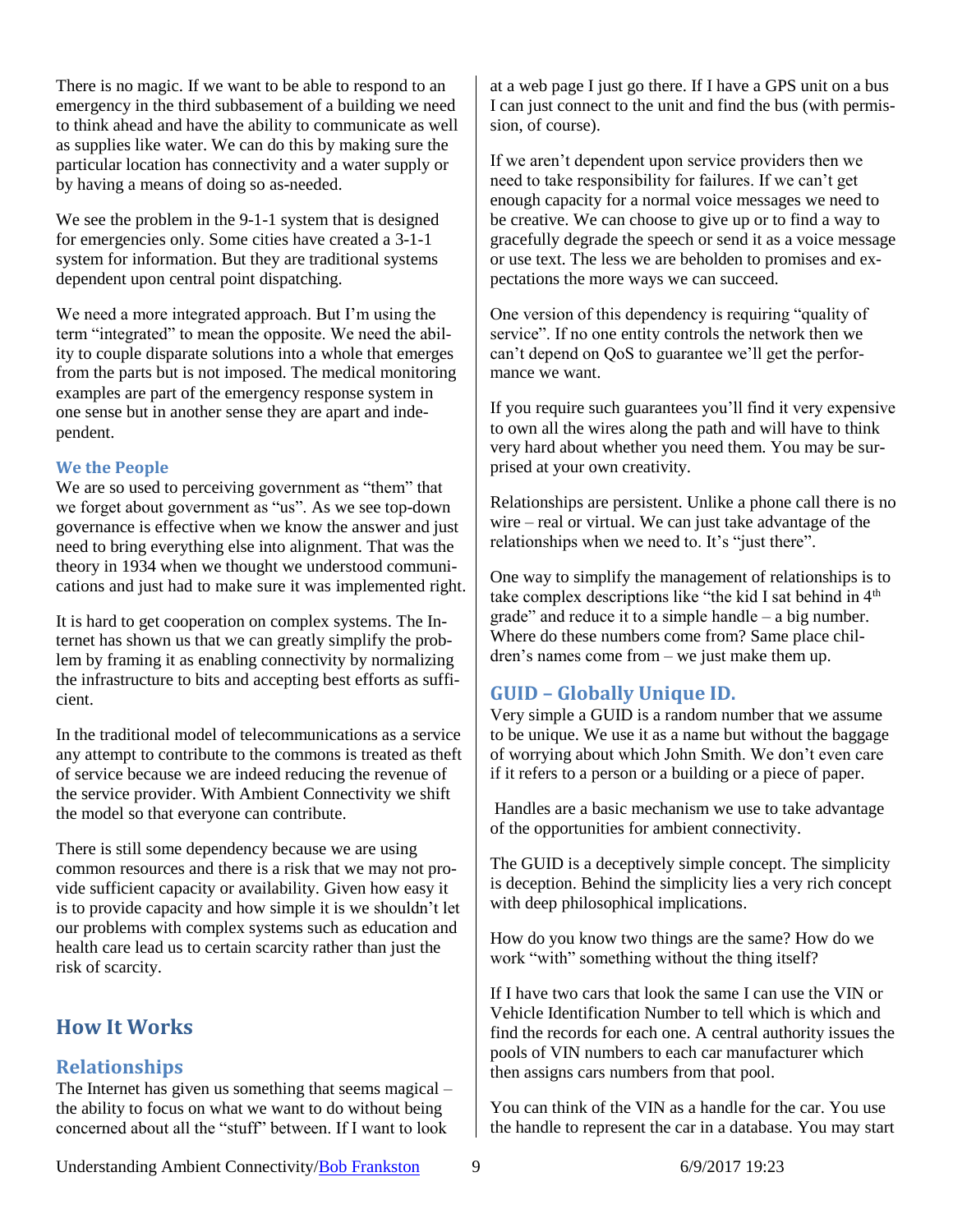There is no magic. If we want to be able to respond to an emergency in the third subbasement of a building we need to think ahead and have the ability to communicate as well as supplies like water. We can do this by making sure the particular location has connectivity and a water supply or by having a means of doing so as-needed.

We see the problem in the 9-1-1 system that is designed for emergencies only. Some cities have created a 3-1-1 system for information. But they are traditional systems dependent upon central point dispatching.

We need a more integrated approach. But I'm using the term "integrated" to mean the opposite. We need the ability to couple disparate solutions into a whole that emerges from the parts but is not imposed. The medical monitoring examples are part of the emergency response system in one sense but in another sense they are apart and independent.

## <span id="page-8-0"></span>**We the People**

We are so used to perceiving government as "them" that we forget about government as "us". As we see top-down governance is effective when we know the answer and just need to bring everything else into alignment. That was the theory in 1934 when we thought we understood communications and just had to make sure it was implemented right.

It is hard to get cooperation on complex systems. The Internet has shown us that we can greatly simplify the problem by framing it as enabling connectivity by normalizing the infrastructure to bits and accepting best efforts as sufficient.

In the traditional model of telecommunications as a service any attempt to contribute to the commons is treated as theft of service because we are indeed reducing the revenue of the service provider. With Ambient Connectivity we shift the model so that everyone can contribute.

There is still some dependency because we are using common resources and there is a risk that we may not provide sufficient capacity or availability. Given how easy it is to provide capacity and how simple it is we shouldn't let our problems with complex systems such as education and health care lead us to certain scarcity rather than just the risk of scarcity.

# <span id="page-8-1"></span>**How It Works**

## <span id="page-8-2"></span>**Relationships**

The Internet has given us something that seems magical – the ability to focus on what we want to do without being concerned about all the "stuff" between. If I want to look

at a web page I just go there. If I have a GPS unit on a bus I can just connect to the unit and find the bus (with permission, of course).

If we aren't dependent upon service providers then we need to take responsibility for failures. If we can't get enough capacity for a normal voice messages we need to be creative. We can choose to give up or to find a way to gracefully degrade the speech or send it as a voice message or use text. The less we are beholden to promises and expectations the more ways we can succeed.

One version of this dependency is requiring "quality of service". If no one entity controls the network then we can't depend on QoS to guarantee we'll get the performance we want.

If you require such guarantees you'll find it very expensive to own all the wires along the path and will have to think very hard about whether you need them. You may be surprised at your own creativity.

Relationships are persistent. Unlike a phone call there is no wire – real or virtual. We can just take advantage of the relationships when we need to. It's "just there".

One way to simplify the management of relationships is to take complex descriptions like "the kid I sat behind in 4<sup>th</sup> grade" and reduce it to a simple handle – a big number. Where do these numbers come from? Same place children's names come from – we just make them up.

# <span id="page-8-3"></span>**GUID – Globally Unique ID.**

Very simple a GUID is a random number that we assume to be unique. We use it as a name but without the baggage of worrying about which John Smith. We don't even care if it refers to a person or a building or a piece of paper.

Handles are a basic mechanism we use to take advantage of the opportunities for ambient connectivity.

The GUID is a deceptively simple concept. The simplicity is deception. Behind the simplicity lies a very rich concept with deep philosophical implications.

How do you know two things are the same? How do we work "with" something without the thing itself?

If I have two cars that look the same I can use the VIN or Vehicle Identification Number to tell which is which and find the records for each one. A central authority issues the pools of VIN numbers to each car manufacturer which then assigns cars numbers from that pool.

You can think of the VIN as a handle for the car. You use the handle to represent the car in a database. You may start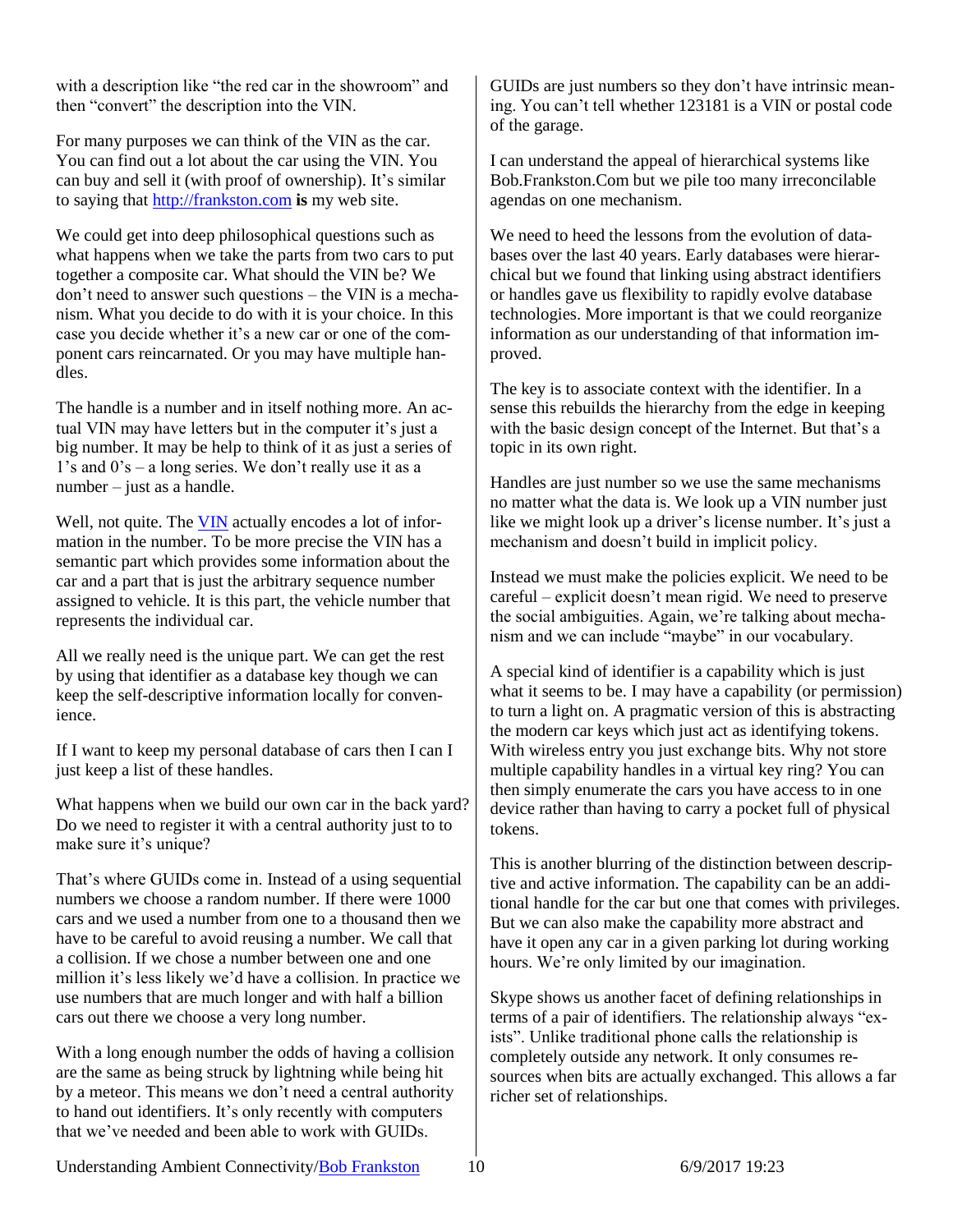with a description like "the red car in the showroom" and then "convert" the description into the VIN.

For many purposes we can think of the VIN as the car. You can find out a lot about the car using the VIN. You can buy and sell it (with proof of ownership). It's similar to saying that [http://frankston.com](http://frankston.com/) **is** my web site.

We could get into deep philosophical questions such as what happens when we take the parts from two cars to put together a composite car. What should the VIN be? We don't need to answer such questions – the VIN is a mechanism. What you decide to do with it is your choice. In this case you decide whether it's a new car or one of the component cars reincarnated. Or you may have multiple handles.

The handle is a number and in itself nothing more. An actual VIN may have letters but in the computer it's just a big number. It may be help to think of it as just a series of  $1's$  and  $0's - a$  long series. We don't really use it as a number – just as a handle.

Well, not quite. The [VIN](http://en.wikipedia.org/wiki/Vehicle_identification_number) actually encodes a lot of information in the number. To be more precise the VIN has a semantic part which provides some information about the car and a part that is just the arbitrary sequence number assigned to vehicle. It is this part, the vehicle number that represents the individual car.

All we really need is the unique part. We can get the rest by using that identifier as a database key though we can keep the self-descriptive information locally for convenience.

If I want to keep my personal database of cars then I can I just keep a list of these handles.

What happens when we build our own car in the back yard? Do we need to register it with a central authority just to to make sure it's unique?

That's where GUIDs come in. Instead of a using sequential numbers we choose a random number. If there were 1000 cars and we used a number from one to a thousand then we have to be careful to avoid reusing a number. We call that a collision. If we chose a number between one and one million it's less likely we'd have a collision. In practice we use numbers that are much longer and with half a billion cars out there we choose a very long number.

With a long enough number the odds of having a collision are the same as being struck by lightning while being hit by a meteor. This means we don't need a central authority to hand out identifiers. It's only recently with computers that we've needed and been able to work with GUIDs.

GUIDs are just numbers so they don't have intrinsic meaning. You can't tell whether 123181 is a VIN or postal code of the garage.

I can understand the appeal of hierarchical systems like Bob.Frankston.Com but we pile too many irreconcilable agendas on one mechanism.

We need to heed the lessons from the evolution of databases over the last 40 years. Early databases were hierarchical but we found that linking using abstract identifiers or handles gave us flexibility to rapidly evolve database technologies. More important is that we could reorganize information as our understanding of that information improved.

The key is to associate context with the identifier. In a sense this rebuilds the hierarchy from the edge in keeping with the basic design concept of the Internet. But that's a topic in its own right.

Handles are just number so we use the same mechanisms no matter what the data is. We look up a VIN number just like we might look up a driver's license number. It's just a mechanism and doesn't build in implicit policy.

Instead we must make the policies explicit. We need to be careful – explicit doesn't mean rigid. We need to preserve the social ambiguities. Again, we're talking about mechanism and we can include "maybe" in our vocabulary.

A special kind of identifier is a capability which is just what it seems to be. I may have a capability (or permission) to turn a light on. A pragmatic version of this is abstracting the modern car keys which just act as identifying tokens. With wireless entry you just exchange bits. Why not store multiple capability handles in a virtual key ring? You can then simply enumerate the cars you have access to in one device rather than having to carry a pocket full of physical tokens.

This is another blurring of the distinction between descriptive and active information. The capability can be an additional handle for the car but one that comes with privileges. But we can also make the capability more abstract and have it open any car in a given parking lot during working hours. We're only limited by our imagination.

Skype shows us another facet of defining relationships in terms of a pair of identifiers. The relationship always "exists". Unlike traditional phone calls the relationship is completely outside any network. It only consumes resources when bits are actually exchanged. This allows a far richer set of relationships.

Understanding Ambient Connectivity[/Bob Frankston](http://frankston.com/public) 10 6/9/2017 19:23